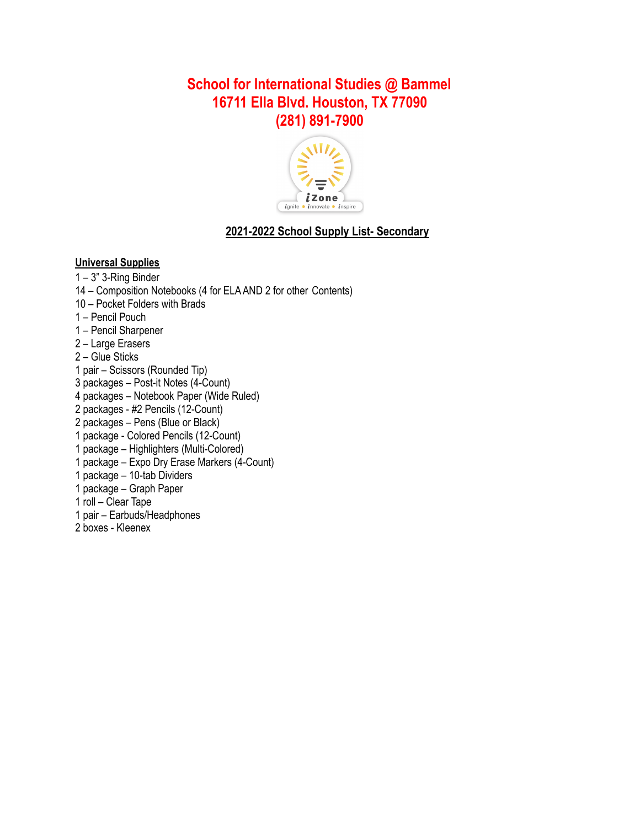# **School for International Studies @ Bammel 16711 Ella Blvd. Houston, TX 77090 (281) 891-7900**



## **2021-2022 School Supply List- Secondary**

### **Universal Supplies**

- 3" 3-Ring Binder
- Composition Notebooks (4 for ELA AND 2 for other Contents)
- Pocket Folders with Brads
- Pencil Pouch
- Pencil Sharpener
- Large Erasers
- Glue Sticks
- pair Scissors (Rounded Tip)
- packages Post-it Notes (4-Count)
- packages Notebook Paper (Wide Ruled)
- packages #2 Pencils (12-Count)
- packages Pens (Blue or Black)
- package Colored Pencils (12-Count)
- package Highlighters (Multi-Colored)
- package Expo Dry Erase Markers (4-Count)
- package 10-tab Dividers
- package Graph Paper
- roll Clear Tape
- pair Earbuds/Headphones
- boxes Kleenex